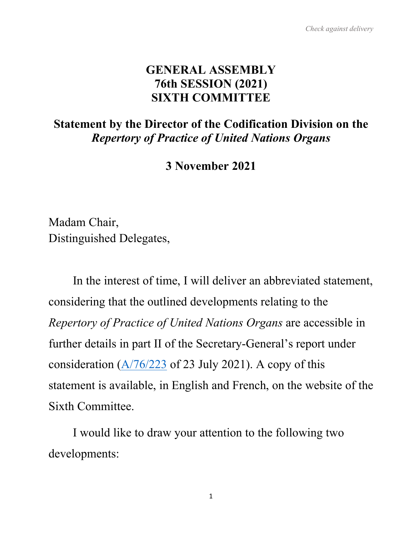#### **GENERAL ASSEMBLY 76th SESSION (2021) SIXTH COMMITTEE**

## **Statement by the Director of the Codification Division on the** *Repertory of Practice of United Nations Organs*

**3 November 2021**

Madam Chair, Distinguished Delegates,

In the interest of time, I will deliver an abbreviated statement, considering that the outlined developments relating to the *Repertory of Practice of United Nations Organs* are accessible in further details in part II of the Secretary-General's report under consideration  $(A/76/223$  of 23 July 2021). A copy of this statement is available, in English and French, on the website of the Sixth Committee.

I would like to draw your attention to the following two developments: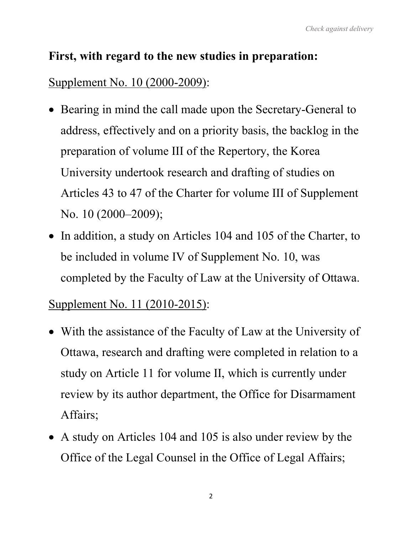## **First, with regard to the new studies in preparation:**

## Supplement No. 10 (2000-2009):

- Bearing in mind the call made upon the Secretary-General to address, effectively and on a priority basis, the backlog in the preparation of volume III of the Repertory, the Korea University undertook research and drafting of studies on Articles 43 to 47 of the Charter for volume III of Supplement No. 10 (2000–2009);
- In addition, a study on Articles 104 and 105 of the Charter, to be included in volume IV of Supplement No. 10, was completed by the Faculty of Law at the University of Ottawa.

## Supplement No. 11 (2010-2015):

- With the assistance of the Faculty of Law at the University of Ottawa, research and drafting were completed in relation to a study on Article 11 for volume II, which is currently under review by its author department, the Office for Disarmament Affairs;
- A study on Articles 104 and 105 is also under review by the Office of the Legal Counsel in the Office of Legal Affairs;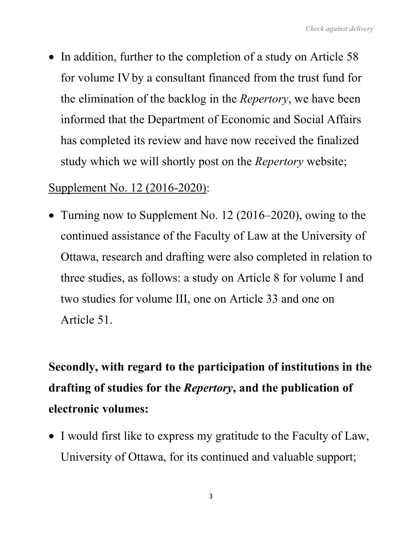• In addition, further to the completion of a study on Article 58 for volume IVby a consultant financed from the trust fund for the elimination of the backlog in the *Repertory*, we have been informed that the Department of Economic and Social Affairs has completed its review and have now received the finalized study which we will shortly post on the *Repertory* website;

## Supplement No. 12 (2016-2020):

• Turning now to Supplement No. 12 (2016–2020), owing to the continued assistance of the Faculty of Law at the University of Ottawa, research and drafting were also completed in relation to three studies, as follows: a study on Article 8 for volume I and two studies for volume III, one on Article 33 and one on Article 51.

# **Secondly, with regard to the participation of institutions in the drafting of studies for the** *Repertory***, and the publication of electronic volumes:**

• I would first like to express my gratitude to the Faculty of Law, University of Ottawa, for its continued and valuable support;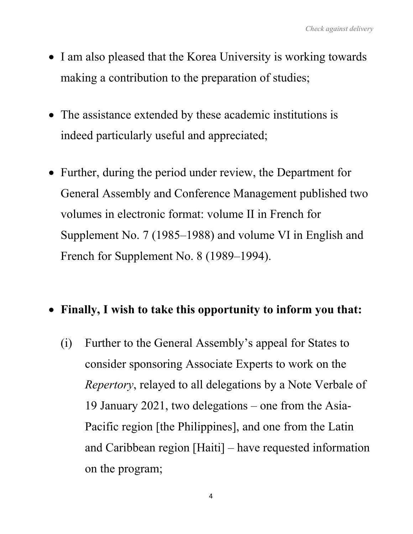- I am also pleased that the Korea University is working towards making a contribution to the preparation of studies;
- The assistance extended by these academic institutions is indeed particularly useful and appreciated;
- Further, during the period under review, the Department for General Assembly and Conference Management published two volumes in electronic format: volume II in French for Supplement No. 7 (1985–1988) and volume VI in English and French for Supplement No. 8 (1989–1994).

## • **Finally, I wish to take this opportunity to inform you that:**

(i) Further to the General Assembly's appeal for States to consider sponsoring Associate Experts to work on the *Repertory*, relayed to all delegations by a Note Verbale of 19 January 2021, two delegations – one from the Asia-Pacific region [the Philippines], and one from the Latin and Caribbean region [Haiti] – have requested information on the program;